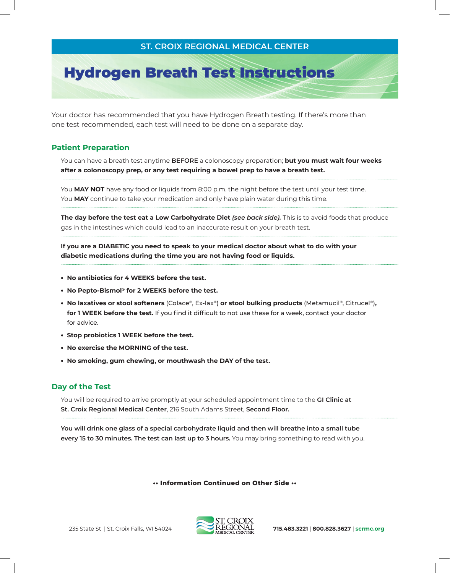### **St. Croix Regional Medical Center**

# Hydrogen Breath Test Instructions

Your doctor has recommended that you have Hydrogen Breath testing. If there's more than one test recommended, each test will need to be done on a separate day.

#### **Patient Preparation**

You can have a breath test anytime **before** a colonoscopy preparation; **but you must wait four weeks after a colonoscopy prep, or any test requiring a bowel prep to have a breath test.**

You MAY NOT have any food or liquids from 8:00 p.m. the night before the test until your test time. You **MAY** continue to take your medication and only have plain water during this time.

**The day before the test eat a Low Carbohydrate Diet** *(see back side).* This is to avoid foods that produce gas in the intestines which could lead to an inaccurate result on your breath test.

If you are a DIABETIC you need to speak to your medical doctor about what to do with your **diabetic medications during the time you are not having food or liquids.**

- **• No antibiotics for 4 weeks before the test.**
- **• No Pepto-Bismol® for 2 weeks before the test.**
- **• No laxatives or stool softeners** (Colace®, Ex-lax®) **or stool bulking products** (Metamucil®, Citrucel®)**,**  for 1 WEEK before the test. If you find it difficult to not use these for a week, contact your doctor for advice.
- **• Stop probiotics 1 week before the test.**
- **• No exercise the Morning of the test.**
- **• No smoking, gum chewing, or mouthwash the Day of the test.**

#### **Day of the Test**

You will be required to arrive promptly at your scheduled appointment time to the **GI Clinic at St. Croix Regional Medical Center**, 216 South Adams Street, **Second Floor.**

**You will drink one glass of a special carbohydrate liquid and then will breathe into a small tube every 15 to 30 minutes. The test can last up to 3 hours.** You may bring something to read with you.

**•• Information Continued on Other Side ••**